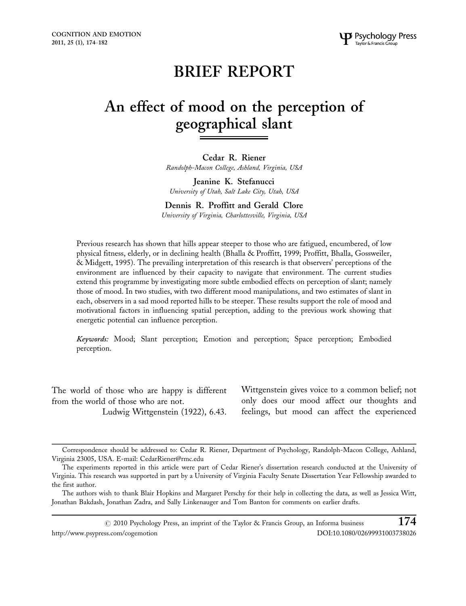# BRIEF REPORT

# An effect of mood on the perception of geographical slant

Cedar R. Riener Randolph-Macon College, Ashland, Virginia, USA

Jeanine K. Stefanucci University of Utah, Salt Lake City, Utah, USA

Dennis R. Proffitt and Gerald Clore

University of Virginia, Charlottesville, Virginia, USA

Previous research has shown that hills appear steeper to those who are fatigued, encumbered, of low physical fitness, elderly, or in declining health (Bhalla & Proffitt, 1999; Proffitt, Bhalla, Gossweiler, & Midgett, 1995). The prevailing interpretation of this research is that observers' perceptions of the environment are influenced by their capacity to navigate that environment. The current studies extend this programme by investigating more subtle embodied effects on perception of slant; namely those of mood. In two studies, with two different mood manipulations, and two estimates of slant in each, observers in a sad mood reported hills to be steeper. These results support the role of mood and motivational factors in influencing spatial perception, adding to the previous work showing that energetic potential can influence perception.

Keywords: Mood; Slant perception; Emotion and perception; Space perception; Embodied perception.

The world of those who are happy is different from the world of those who are not.

Ludwig Wittgenstein (1922), 6.43.

Wittgenstein gives voice to a common belief; not only does our mood affect our thoughts and feelings, but mood can affect the experienced

 $\odot$  2010 Psychology Press, an imprint of the Taylor & Francis Group, an Informa business  $174$ http://www.psypress.com/cogemotion DOI:10.1080/02699931003738026

Correspondence should be addressed to: Cedar R. Riener, Department of Psychology, Randolph-Macon College, Ashland, Virginia 23005, USA. E-mail: CedarRiener@rmc.edu

The experiments reported in this article were part of Cedar Riener's dissertation research conducted at the University of Virginia. This research was supported in part by a University of Virginia Faculty Senate Dissertation Year Fellowship awarded to the first author.

The authors wish to thank Blair Hopkins and Margaret Perschy for their help in collecting the data, as well as Jessica Witt, Jonathan Bakdash, Jonathan Zadra, and Sally Linkenauger and Tom Banton for comments on earlier drafts.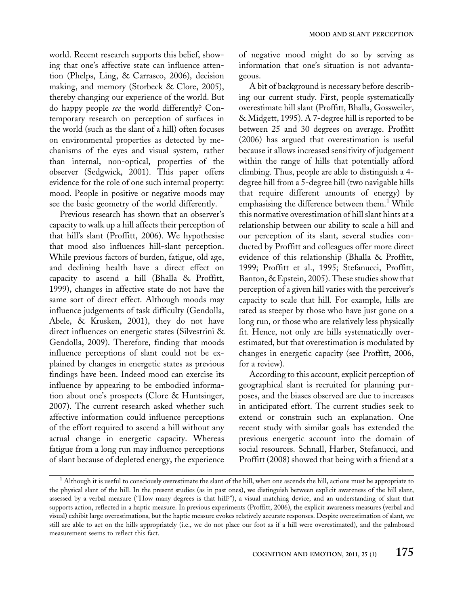world. Recent research supports this belief, showing that one's affective state can influence attention (Phelps, Ling, & Carrasco, 2006), decision making, and memory (Storbeck & Clore, 2005), thereby changing our experience of the world. But do happy people see the world differently? Contemporary research on perception of surfaces in the world (such as the slant of a hill) often focuses on environmental properties as detected by mechanisms of the eyes and visual system, rather than internal, non-optical, properties of the observer (Sedgwick, 2001). This paper offers evidence for the role of one such internal property: mood. People in positive or negative moods may see the basic geometry of the world differently.

Previous research has shown that an observer's capacity to walk up a hill affects their perception of that hill's slant (Proffitt, 2006). We hypothesise that mood also influences hill-slant perception. While previous factors of burden, fatigue, old age, and declining health have a direct effect on capacity to ascend a hill (Bhalla & Proffitt, 1999), changes in affective state do not have the same sort of direct effect. Although moods may influence judgements of task difficulty (Gendolla, Abele, & Krusken, 2001), they do not have direct influences on energetic states (Silvestrini & Gendolla, 2009). Therefore, finding that moods influence perceptions of slant could not be explained by changes in energetic states as previous findings have been. Indeed mood can exercise its influence by appearing to be embodied information about one's prospects (Clore & Huntsinger, 2007). The current research asked whether such affective information could influence perceptions of the effort required to ascend a hill without any actual change in energetic capacity. Whereas fatigue from a long run may influence perceptions of slant because of depleted energy, the experience

of negative mood might do so by serving as information that one's situation is not advantageous.

A bit of background is necessary before describing our current study. First, people systematically overestimate hill slant (Proffitt, Bhalla, Gossweiler, & Midgett, 1995). A 7-degree hill is reported to be between 25 and 30 degrees on average. Proffitt (2006) has argued that overestimation is useful because it allows increased sensitivity of judgement within the range of hills that potentially afford climbing. Thus, people are able to distinguish a 4 degree hill from a 5-degree hill (two navigable hills that require different amounts of energy) by emphasising the difference between them.<sup>1</sup> While this normative overestimation of hill slant hints at a relationship between our ability to scale a hill and our perception of its slant, several studies conducted by Proffitt and colleagues offer more direct evidence of this relationship (Bhalla & Proffitt, 1999; Proffitt et al., 1995; Stefanucci, Proffitt, Banton, & Epstein, 2005). These studies show that perception of a given hill varies with the perceiver's capacity to scale that hill. For example, hills are rated as steeper by those who have just gone on a long run, or those who are relatively less physically fit. Hence, not only are hills systematically overestimated, but that overestimation is modulated by changes in energetic capacity (see Proffitt, 2006, for a review).

According to this account, explicit perception of geographical slant is recruited for planning purposes, and the biases observed are due to increases in anticipated effort. The current studies seek to extend or constrain such an explanation. One recent study with similar goals has extended the previous energetic account into the domain of social resources. Schnall, Harber, Stefanucci, and Proffitt (2008) showed that being with a friend at a

 $1$  Although it is useful to consciously overestimate the slant of the hill, when one ascends the hill, actions must be appropriate to the physical slant of the hill. In the present studies (as in past ones), we distinguish between explicit awareness of the hill slant, assessed by a verbal measure (''How many degrees is that hill?''), a visual matching device, and an understanding of slant that supports action, reflected in a haptic measure. In previous experiments (Proffitt, 2006), the explicit awareness measures (verbal and visual) exhibit large overestimations, but the haptic measure evokes relatively accurate responses. Despite overestimation of slant, we still are able to act on the hills appropriately (i.e., we do not place our foot as if a hill were overestimated), and the palmboard measurement seems to reflect this fact.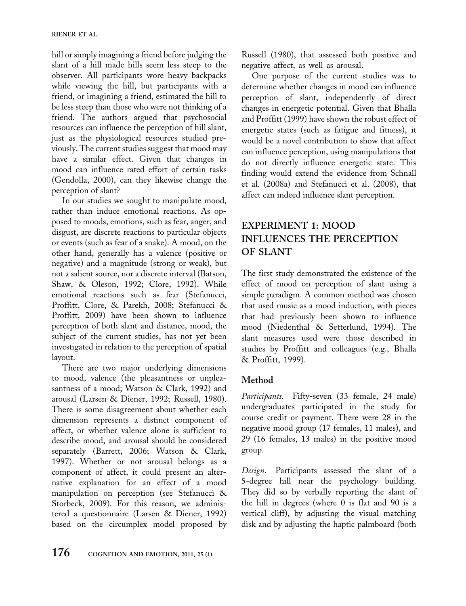hill or simply imagining a friend before judging the slant of a hill made hills seem less steep to the observer. All participants wore heavy backpacks while viewing the hill, but participants with a friend, or imagining a friend, estimated the hill to be less steep than those who were not thinking of a friend. The authors argued that psychosocial resources can influence the perception of hill slant, just as the physiological resources studied previously. The current studies suggest that mood may have a similar effect. Given that changes in mood can influence rated effort of certain tasks (Gendolla, 2000), can they likewise change the perception of slant?

In our studies we sought to manipulate mood, rather than induce emotional reactions. As opposed to moods, emotions, such as fear, anger, and disgust, are discrete reactions to particular objects or events (such as fear of a snake). A mood, on the other hand, generally has a valence (positive or negative) and a magnitude (strong or weak), but not a salient source, nor a discrete interval (Batson, Shaw, & Oleson, 1992; Clore, 1992). While emotional reactions such as fear (Stefanucci, Proffitt, Clore, & Parekh, 2008; Stefanucci & Proffitt, 2009) have been shown to influence perception of both slant and distance, mood, the subject of the current studies, has not yet been investigated in relation to the perception of spatial layout.

There are two major underlying dimensions to mood, valence (the pleasantness or unpleasantness of a mood; Watson & Clark, 1992) and arousal (Larsen & Diener, 1992; Russell, 1980). There is some disagreement about whether each dimension represents a distinct component of affect, or whether valence alone is sufficient to describe mood, and arousal should be considered separately (Barrett, 2006; Watson & Clark, 1997). Whether or not arousal belongs as a component of affect, it could present an alternative explanation for an effect of a mood manipulation on perception (see Stefanucci & Storbeck, 2009). For this reason, we administered a questionnaire (Larsen & Diener, 1992) based on the circumplex model proposed by

Russell (1980), that assessed both positive and negative affect, as well as arousal.

One purpose of the current studies was to determine whether changes in mood can influence perception of slant, independently of direct changes in energetic potential. Given that Bhalla and Proffitt (1999) have shown the robust effect of energetic states (such as fatigue and fitness), it would be a novel contribution to show that affect can influence perception, using manipulations that do not directly influence energetic state. This finding would extend the evidence from Schnall et al. (2008a) and Stefanucci et al. (2008), that affect can indeed influence slant perception.

# EXPERIMENT 1: MOOD INFLUENCES THE PERCEPTION OF SLANT

The first study demonstrated the existence of the effect of mood on perception of slant using a simple paradigm. A common method was chosen that used music as a mood induction, with pieces that had previously been shown to influence mood (Niedenthal & Setterlund, 1994). The slant measures used were those described in studies by Proffitt and colleagues (e.g., Bhalla & Proffitt, 1999).

## Method

Participants. Fifty-seven (33 female, 24 male) undergraduates participated in the study for course credit or payment. There were 28 in the negative mood group (17 females, 11 males), and 29 (16 females, 13 males) in the positive mood group.

Design. Participants assessed the slant of a 5-degree hill near the psychology building. They did so by verbally reporting the slant of the hill in degrees (where 0 is flat and 90 is a vertical cliff), by adjusting the visual matching disk and by adjusting the haptic palmboard (both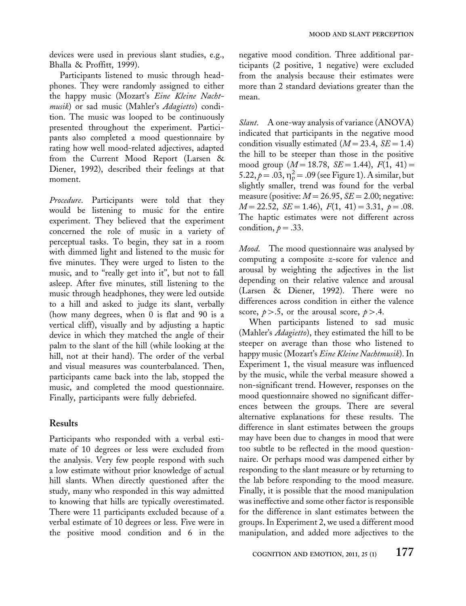devices were used in previous slant studies, e.g., Bhalla & Proffitt, 1999).

Participants listened to music through headphones. They were randomly assigned to either the happy music (Mozart's Eine Kleine Nachtmusik) or sad music (Mahler's Adagietto) condition. The music was looped to be continuously presented throughout the experiment. Participants also completed a mood questionnaire by rating how well mood-related adjectives, adapted from the Current Mood Report (Larsen & Diener, 1992), described their feelings at that moment.

Procedure. Participants were told that they would be listening to music for the entire experiment. They believed that the experiment concerned the role of music in a variety of perceptual tasks. To begin, they sat in a room with dimmed light and listened to the music for five minutes. They were urged to listen to the music, and to "really get into it", but not to fall asleep. After five minutes, still listening to the music through headphones, they were led outside to a hill and asked to judge its slant, verbally (how many degrees, when 0 is flat and 90 is a vertical cliff), visually and by adjusting a haptic device in which they matched the angle of their palm to the slant of the hill (while looking at the hill, not at their hand). The order of the verbal and visual measures was counterbalanced. Then, participants came back into the lab, stopped the music, and completed the mood questionnaire. Finally, participants were fully debriefed.

#### Results

Participants who responded with a verbal estimate of 10 degrees or less were excluded from the analysis. Very few people respond with such a low estimate without prior knowledge of actual hill slants. When directly questioned after the study, many who responded in this way admitted to knowing that hills are typically overestimated. There were 11 participants excluded because of a verbal estimate of 10 degrees or less. Five were in the positive mood condition and 6 in the negative mood condition. Three additional participants (2 positive, 1 negative) were excluded from the analysis because their estimates were more than 2 standard deviations greater than the mean.

Slant. A one-way analysis of variance (ANOVA) indicated that participants in the negative mood condition visually estimated ( $M = 23.4$ ,  $SE = 1.4$ ) the hill to be steeper than those in the positive mood group  $(M=18.78, \, SE=1.44), \, F(1, 41) =$ 5.22,  $p = .03$ ,  $\eta_p^2 = .09$  (see Figure 1). A similar, but slightly smaller, trend was found for the verbal measure (positive:  $M = 26.95$ ,  $SE = 2.00$ ; negative:  $M = 22.52$ ,  $SE = 1.46$ ,  $F(1, 41) = 3.31$ ,  $p = .08$ . The haptic estimates were not different across condition,  $p = .33$ .

Mood. The mood questionnaire was analysed by computing a composite z-score for valence and arousal by weighting the adjectives in the list depending on their relative valence and arousal (Larsen & Diener, 1992). There were no differences across condition in either the valence score,  $p > .5$ , or the arousal score,  $p > .4$ .

When participants listened to sad music (Mahler's *Adagietto*), they estimated the hill to be steeper on average than those who listened to happy music (Mozart's Eine Kleine Nachtmusik). In Experiment 1, the visual measure was influenced by the music, while the verbal measure showed a non-significant trend. However, responses on the mood questionnaire showed no significant differences between the groups. There are several alternative explanations for these results. The difference in slant estimates between the groups may have been due to changes in mood that were too subtle to be reflected in the mood questionnaire. Or perhaps mood was dampened either by responding to the slant measure or by returning to the lab before responding to the mood measure. Finally, it is possible that the mood manipulation was ineffective and some other factor is responsible for the difference in slant estimates between the groups. In Experiment 2, we used a different mood manipulation, and added more adjectives to the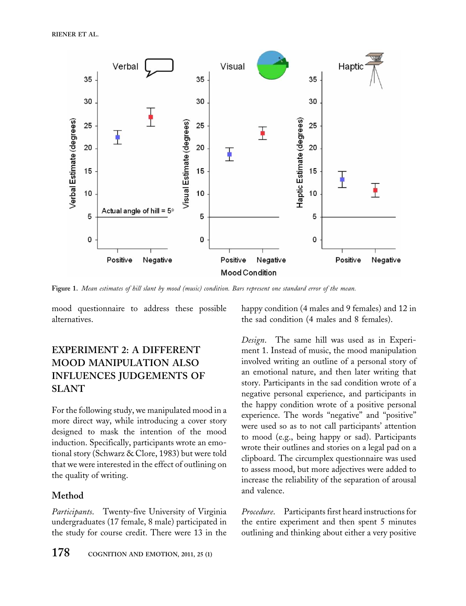

Figure 1. Mean estimates of hill slant by mood (music) condition. Bars represent one standard error of the mean.

mood questionnaire to address these possible alternatives.

## EXPERIMENT 2: A DIFFERENT MOOD MANIPULATION ALSO INFLUENCES JUDGEMENTS OF SLANT

For the following study, we manipulated mood in a more direct way, while introducing a cover story designed to mask the intention of the mood induction. Specifically, participants wrote an emotional story (Schwarz & Clore, 1983) but were told that we were interested in the effect of outlining on the quality of writing.

### Method

Participants. Twenty-five University of Virginia undergraduates (17 female, 8 male) participated in the study for course credit. There were 13 in the

178 COGNITION AND EMOTION, 2011, 25 (1)

happy condition (4 males and 9 females) and 12 in the sad condition (4 males and 8 females).

Design. The same hill was used as in Experiment 1. Instead of music, the mood manipulation involved writing an outline of a personal story of an emotional nature, and then later writing that story. Participants in the sad condition wrote of a negative personal experience, and participants in the happy condition wrote of a positive personal experience. The words "negative" and "positive" were used so as to not call participants' attention to mood (e.g., being happy or sad). Participants wrote their outlines and stories on a legal pad on a clipboard. The circumplex questionnaire was used to assess mood, but more adjectives were added to increase the reliability of the separation of arousal and valence.

Procedure. Participants first heard instructions for the entire experiment and then spent 5 minutes outlining and thinking about either a very positive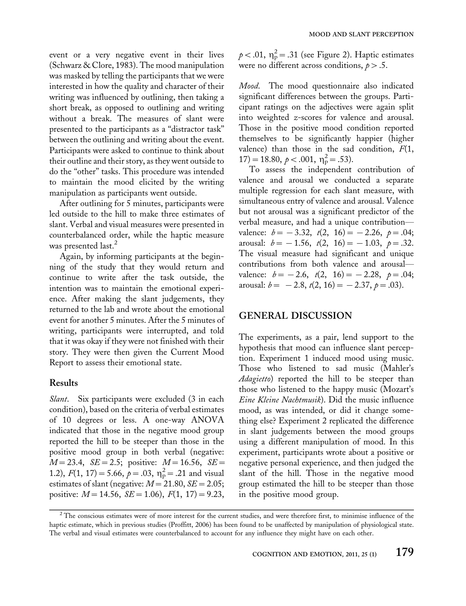event or a very negative event in their lives (Schwarz & Clore, 1983). The mood manipulation was masked by telling the participants that we were interested in how the quality and character of their writing was influenced by outlining, then taking a short break, as opposed to outlining and writing without a break. The measures of slant were presented to the participants as a ''distractor task'' between the outlining and writing about the event. Participants were asked to continue to think about their outline and their story, as they went outside to do the "other" tasks. This procedure was intended to maintain the mood elicited by the writing manipulation as participants went outside.

After outlining for 5 minutes, participants were led outside to the hill to make three estimates of slant. Verbal and visual measures were presented in counterbalanced order, while the haptic measure was presented last.<sup>2</sup>

Again, by informing participants at the beginning of the study that they would return and continue to write after the task outside, the intention was to maintain the emotional experience. After making the slant judgements, they returned to the lab and wrote about the emotional event for another 5 minutes. After the 5 minutes of writing, participants were interrupted, and told that it was okay if they were not finished with their story. They were then given the Current Mood Report to assess their emotional state.

#### Results

Slant. Six participants were excluded (3 in each condition), based on the criteria of verbal estimates of 10 degrees or less. A one-way ANOVA indicated that those in the negative mood group reported the hill to be steeper than those in the positive mood group in both verbal (negative:  $M = 23.4$ ,  $SE = 2.5$ ; positive:  $M = 16.56$ ,  $SE =$ 1.2),  $F(1, 17) = 5.66$ ,  $p = .03$ ,  $\eta_p^2 = .21$  and visual estimates of slant (negative:  $M = 21.80$ ,  $SE = 2.05$ ; positive:  $M = 14.56$ ,  $SE = 1.06$ ),  $F(1, 17) = 9.23$ ,

 $p < .01$ ,  $\eta_{\rm p}^2 = .31$  (see Figure 2). Haptic estimates were no different across conditions,  $p > .5$ .

Mood. The mood questionnaire also indicated significant differences between the groups. Participant ratings on the adjectives were again split into weighted z-scores for valence and arousal. Those in the positive mood condition reported themselves to be significantly happier (higher valence) than those in the sad condition,  $F(1,$  $17$ ) = 18.80,  $p < .001$ ,  $\eta_p^2 = .53$ ).

To assess the independent contribution of valence and arousal we conducted a separate multiple regression for each slant measure, with simultaneous entry of valence and arousal. Valence but not arousal was a significant predictor of the verbal measure, and had a unique contribution\* valence:  $b = -3.32$ ,  $t(2, 16) = -2.26$ ,  $p = .04$ ; arousal:  $b = -1.56$ ,  $t(2, 16) = -1.03$ ,  $p = .32$ . The visual measure had significant and unique contributions from both valence and arousalvalence:  $b = -2.6$ ,  $t(2, 16) = -2.28$ ,  $p = .04$ ; arousal:  $b = -2.8$ ,  $t(2, 16) = -2.37$ ,  $p = .03$ ).

#### GENERAL DISCUSSION

The experiments, as a pair, lend support to the hypothesis that mood can influence slant perception. Experiment 1 induced mood using music. Those who listened to sad music (Mahler's Adagietto) reported the hill to be steeper than those who listened to the happy music (Mozart's Eine Kleine Nachtmusik). Did the music influence mood, as was intended, or did it change something else? Experiment 2 replicated the difference in slant judgements between the mood groups using a different manipulation of mood. In this experiment, participants wrote about a positive or negative personal experience, and then judged the slant of the hill. Those in the negative mood group estimated the hill to be steeper than those in the positive mood group.

 $2$  The conscious estimates were of more interest for the current studies, and were therefore first, to minimise influence of the haptic estimate, which in previous studies (Proffitt, 2006) has been found to be unaffected by manipulation of physiological state. The verbal and visual estimates were counterbalanced to account for any influence they might have on each other.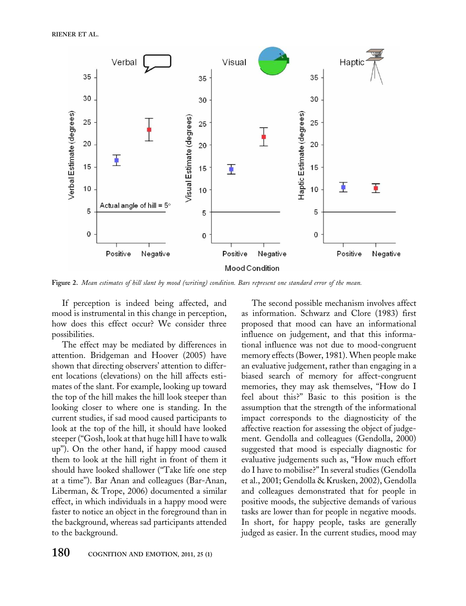

Figure 2. Mean estimates of hill slant by mood (writing) condition. Bars represent one standard error of the mean.

If perception is indeed being affected, and mood is instrumental in this change in perception, how does this effect occur? We consider three possibilities.

The effect may be mediated by differences in attention. Bridgeman and Hoover (2005) have shown that directing observers' attention to different locations (elevations) on the hill affects estimates of the slant. For example, looking up toward the top of the hill makes the hill look steeper than looking closer to where one is standing. In the current studies, if sad mood caused participants to look at the top of the hill, it should have looked steeper (''Gosh, look at that huge hill I have to walk up''). On the other hand, if happy mood caused them to look at the hill right in front of them it should have looked shallower (''Take life one step at a time''). Bar Anan and colleagues (Bar-Anan, Liberman, & Trope, 2006) documented a similar effect, in which individuals in a happy mood were faster to notice an object in the foreground than in the background, whereas sad participants attended to the background.

The second possible mechanism involves affect as information. Schwarz and Clore (1983) first proposed that mood can have an informational influence on judgement, and that this informational influence was not due to mood-congruent memory effects (Bower, 1981). When people make an evaluative judgement, rather than engaging in a biased search of memory for affect-congruent memories, they may ask themselves, "How do I feel about this?'' Basic to this position is the assumption that the strength of the informational impact corresponds to the diagnosticity of the affective reaction for assessing the object of judgement. Gendolla and colleagues (Gendolla, 2000) suggested that mood is especially diagnostic for evaluative judgements such as, ''How much effort do I have to mobilise?'' In several studies (Gendolla et al., 2001; Gendolla & Krusken, 2002), Gendolla and colleagues demonstrated that for people in positive moods, the subjective demands of various tasks are lower than for people in negative moods. In short, for happy people, tasks are generally judged as easier. In the current studies, mood may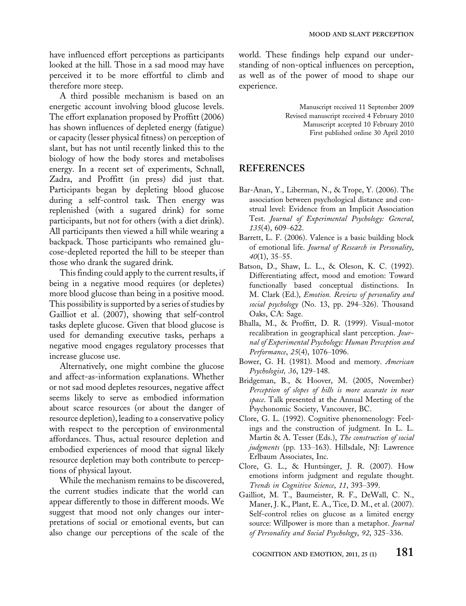have influenced effort perceptions as participants looked at the hill. Those in a sad mood may have perceived it to be more effortful to climb and therefore more steep.

A third possible mechanism is based on an energetic account involving blood glucose levels. The effort explanation proposed by Proffitt (2006) has shown influences of depleted energy (fatigue) or capacity (lesser physical fitness) on perception of slant, but has not until recently linked this to the biology of how the body stores and metabolises energy. In a recent set of experiments, Schnall, Zadra, and Proffitt (in press) did just that. Participants began by depleting blood glucose during a self-control task. Then energy was replenished (with a sugared drink) for some participants, but not for others (with a diet drink). All participants then viewed a hill while wearing a backpack. Those participants who remained glucose-depleted reported the hill to be steeper than those who drank the sugared drink.

This finding could apply to the current results, if being in a negative mood requires (or depletes) more blood glucose than being in a positive mood. This possibility is supported by a series of studies by Gailliot et al. (2007), showing that self-control tasks deplete glucose. Given that blood glucose is used for demanding executive tasks, perhaps a negative mood engages regulatory processes that increase glucose use.

Alternatively, one might combine the glucose and affect-as-information explanations. Whether or not sad mood depletes resources, negative affect seems likely to serve as embodied information about scarce resources (or about the danger of resource depletion), leading to a conservative policy with respect to the perception of environmental affordances. Thus, actual resource depletion and embodied experiences of mood that signal likely resource depletion may both contribute to perceptions of physical layout.

While the mechanism remains to be discovered, the current studies indicate that the world can appear differently to those in different moods. We suggest that mood not only changes our interpretations of social or emotional events, but can also change our perceptions of the scale of the

world. These findings help expand our understanding of non-optical influences on perception, as well as of the power of mood to shape our experience.

> Manuscript received 11 September 2009 Revised manuscript received 4 February 2010 Manuscript accepted 10 February 2010 First published online 30 April 2010

### **REFERENCES**

- Bar-Anan, Y., Liberman, N., & Trope, Y. (2006). The association between psychological distance and construal level: Evidence from an Implicit Association Test. Journal of Experimental Psychology: General,  $135(4)$ , 609-622.
- Barrett, L. F. (2006). Valence is a basic building block of emotional life. Journal of Research in Personality,  $40(1), 35-55.$
- Batson, D., Shaw, L. L., & Oleson, K. C. (1992). Differentiating affect, mood and emotion: Toward functionally based conceptual distinctions. In M. Clark (Ed.), Emotion. Review of personality and social psychology (No. 13, pp. 294-326). Thousand Oaks, CA: Sage.
- Bhalla, M., & Proffitt, D. R. (1999). Visual-motor recalibration in geographical slant perception. Journal of Experimental Psychology: Human Perception and Performance, 25(4), 1076-1096.
- Bower, G. H. (1981). Mood and memory. American Psychologist, 36, 129-148.
- Bridgeman, B., & Hoover, M. (2005, November) Perception of slopes of hills is more accurate in near space. Talk presented at the Annual Meeting of the Psychonomic Society, Vancouver, BC.
- Clore, G. L. (1992). Cognitive phenomenology: Feelings and the construction of judgment. In L. L. Martin & A. Tesser (Eds.), The construction of social judgments (pp. 133-163). Hillsdale, NJ: Lawrence Erlbaum Associates, Inc.
- Clore, G. L., & Huntsinger, J. R. (2007). How emotions inform judgment and regulate thought. Trends in Cognitive Science, 11, 393-399.
- Gailliot, M. T., Baumeister, R. F., DeWall, C. N., Maner, J. K., Plant, E. A., Tice, D. M., et al. (2007). Self-control relies on glucose as a limited energy source: Willpower is more than a metaphor. Journal of Personality and Social Psychology, 92, 325-336.

COGNITION AND EMOTION, 2011, 25  $(1)$  181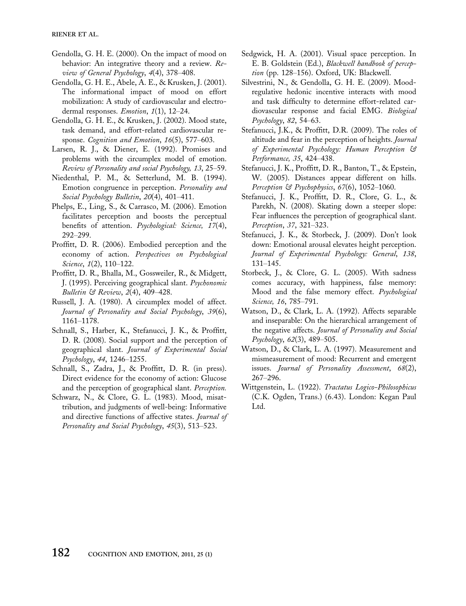- Gendolla, G. H. E. (2000). On the impact of mood on behavior: An integrative theory and a review. Review of General Psychology,  $4(4)$ , 378-408.
- Gendolla, G. H. E., Abele, A. E., & Krusken, J. (2001). The informational impact of mood on effort mobilization: A study of cardiovascular and electrodermal responses. Emotion,  $1(1)$ ,  $12-24$ .
- Gendolla, G. H. E., & Krusken, J. (2002). Mood state, task demand, and effort-related cardiovascular response. Cognition and Emotion,  $16(5)$ ,  $577-603$ .
- Larsen, R. J., & Diener, E. (1992). Promises and problems with the circumplex model of emotion. Review of Personality and social Psychology, 13, 25-59.
- Niedenthal, P. M., & Setterlund, M. B. (1994). Emotion congruence in perception. Personality and Social Psychology Bulletin, 20(4), 401-411.
- Phelps, E., Ling, S., & Carrasco, M. (2006). Emotion facilitates perception and boosts the perceptual benefits of attention. Psychological: Science, 17(4),  $292 - 299.$
- Proffitt, D. R. (2006). Embodied perception and the economy of action. Perspectives on Psychological Science,  $1(2)$ ,  $110-122$ .
- Proffitt, D. R., Bhalla, M., Gossweiler, R., & Midgett, J. (1995). Perceiving geographical slant. Psychonomic Bulletin & Review,  $2(4)$ , 409-428.
- Russell, J. A. (1980). A circumplex model of affect. Journal of Personality and Social Psychology, 39(6), 1161-1178.
- Schnall, S., Harber, K., Stefanucci, J. K., & Proffitt, D. R. (2008). Social support and the perception of geographical slant. Journal of Experimental Social Psychology, 44, 1246-1255.
- Schnall, S., Zadra, J., & Proffitt, D. R. (in press). Direct evidence for the economy of action: Glucose and the perception of geographical slant. Perception.
- Schwarz, N., & Clore, G. L. (1983). Mood, misattribution, and judgments of well-being: Informative and directive functions of affective states. Journal of Personality and Social Psychology, 45(3), 513–523.
- Sedgwick, H. A. (2001). Visual space perception. In E. B. Goldstein (Ed.), Blackwell handbook of perception (pp. 128-156). Oxford, UK: Blackwell.
- Silvestrini, N., & Gendolla, G. H. E. (2009). Moodregulative hedonic incentive interacts with mood and task difficulty to determine effort-related cardiovascular response and facial EMG. Biological  $P$ sychology, 82, 54–63.
- Stefanucci, J.K., & Proffitt, D.R. (2009). The roles of altitude and fear in the perception of heights. Journal of Experimental Psychology: Human Perception & Performance, 35, 424-438.
- Stefanucci, J. K., Proffitt, D. R., Banton, T., & Epstein, W. (2005). Distances appear different on hills. Perception  $\Im$  Psychophysics, 67(6), 1052-1060.
- Stefanucci, J. K., Proffitt, D. R., Clore, G. L., & Parekh, N. (2008). Skating down a steeper slope: Fear influences the perception of geographical slant. Perception, 37, 321–323.
- Stefanucci, J. K., & Storbeck, J. (2009). Don't look down: Emotional arousal elevates height perception. Journal of Experimental Psychology: General, 138, 131-145.
- Storbeck, J., & Clore, G. L. (2005). With sadness comes accuracy, with happiness, false memory: Mood and the false memory effect. Psychological Science, 16, 785-791.
- Watson, D., & Clark, L. A. (1992). Affects separable and inseparable: On the hierarchical arrangement of the negative affects. Journal of Personality and Social  $P<sub>s</sub>$ ychology, 62(3), 489-505.
- Watson, D., & Clark, L. A. (1997). Measurement and mismeasurement of mood: Recurrent and emergent issues. Journal of Personality Assessment, 68(2), 267-296.
- Wittgenstein, L. (1922). Tractatus Logico-Philosophicus (C.K. Ogden, Trans.) (6.43). London: Kegan Paul Ltd.